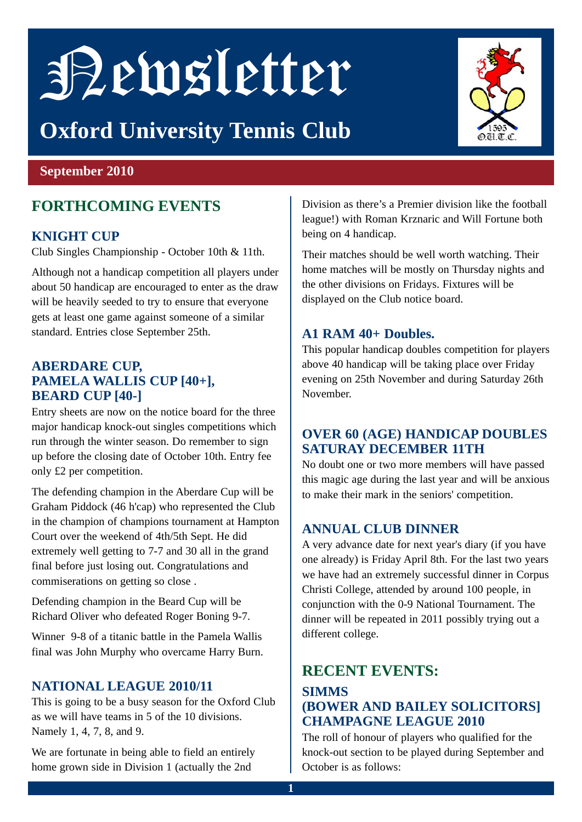# Newsletter

# **Oxford University Tennis Club**



#### **September 2010**

# **FORTHCOMING EVENTS**

#### **KNIGHT CUP**

Club Singles Championship - October 10th & 11th.

Although not a handicap competition all players under about 50 handicap are encouraged to enter as the draw will be heavily seeded to try to ensure that everyone gets at least one game against someone of a similar standard. Entries close September 25th.

#### **ABERDARE CUP, PAMELA WALLIS CUP [40+], BEARD CUP [40-]**

Entry sheets are now on the notice board for the three major handicap knock-out singles competitions which run through the winter season. Do remember to sign up before the closing date of October 10th. Entry fee only £2 per competition.

The defending champion in the Aberdare Cup will be Graham Piddock (46 h'cap) who represented the Club in the champion of champions tournament at Hampton Court over the weekend of 4th/5th Sept. He did extremely well getting to 7-7 and 30 all in the grand final before just losing out. Congratulations and commiserations on getting so close .

Defending champion in the Beard Cup will be Richard Oliver who defeated Roger Boning 9-7.

Winner 9-8 of a titanic battle in the Pamela Wallis final was John Murphy who overcame Harry Burn.

#### **NATIONAL LEAGUE 2010/11**

This is going to be a busy season for the Oxford Club as we will have teams in 5 of the 10 divisions. Namely 1, 4, 7, 8, and 9.

We are fortunate in being able to field an entirely home grown side in Division 1 (actually the 2nd

Division as there's a Premier division like the football league!) with Roman Krznaric and Will Fortune both being on 4 handicap.

Their matches should be well worth watching. Their home matches will be mostly on Thursday nights and the other divisions on Fridays. Fixtures will be displayed on the Club notice board.

#### **A1 RAM 40+ Doubles.**

This popular handicap doubles competition for players above 40 handicap will be taking place over Friday evening on 25th November and during Saturday 26th November.

#### **OVER 60 (AGE) HANDICAP DOUBLES SATURAY DECEMBER 11TH**

No doubt one or two more members will have passed this magic age during the last year and will be anxious to make their mark in the seniors' competition.

#### **ANNUAL CLUB DINNER**

A very advance date for next year's diary (if you have one already) is Friday April 8th. For the last two years we have had an extremely successful dinner in Corpus Christi College, attended by around 100 people, in conjunction with the 0-9 National Tournament. The dinner will be repeated in 2011 possibly trying out a different college.

## **RECENT EVENTS:**

#### **SIMMS (BOWER AND BAILEY SOLICITORS] CHAMPAGNE LEAGUE 2010**

The roll of honour of players who qualified for the knock-out section to be played during September and October is as follows: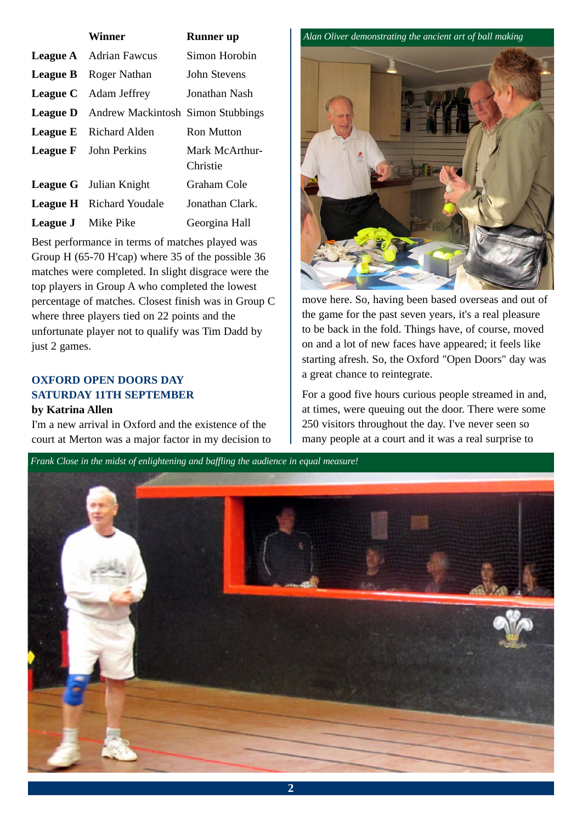|                           | Winner                                            | <b>Runner</b> up           |
|---------------------------|---------------------------------------------------|----------------------------|
|                           | <b>League A</b> Adrian Fawcus                     | Simon Horobin              |
|                           | <b>League B</b> Roger Nathan                      | John Stevens               |
|                           | <b>League C</b> Adam Jeffrey                      | Jonathan Nash              |
|                           | <b>League D</b> Andrew Mackintosh Simon Stubbings |                            |
|                           | <b>League E</b> Richard Alden                     | <b>Ron Mutton</b>          |
|                           | <b>League F</b> John Perkins                      | Mark McArthur-<br>Christie |
|                           | <b>League G</b> Julian Knight                     | Graham Cole                |
|                           | <b>League H</b> Richard Youdale                   | Jonathan Clark.            |
| <b>League J</b> Mike Pike |                                                   | Georgina Hall              |

Best performance in terms of matches played was Group H (65-70 H'cap) where 35 of the possible 36 matches were completed. In slight disgrace were the top players in Group A who completed the lowest percentage of matches. Closest finish was in Group C where three players tied on 22 points and the unfortunate player not to qualify was Tim Dadd by just 2 games.

#### **OXFORD OPEN DOORS DAY SATURDAY 11TH SEPTEMBER**

#### **by Katrina Allen**

I'm a new arrival in Oxford and the existence of the court at Merton was a major factor in my decision to

*Alan Oliver demonstrating the ancient art of ball making*



move here. So, having been based overseas and out of the game for the past seven years, it's a real pleasure to be back in the fold. Things have, of course, moved on and a lot of new faces have appeared; it feels like starting afresh. So, the Oxford "Open Doors" day was a great chance to reintegrate.

For a good five hours curious people streamed in and, at times, were queuing out the door. There were some 250 visitors throughout the day. I've never seen so many people at a court and it was a real surprise to

*Frank Close in the midst of enlightening and baffling the audience in equal measure!*

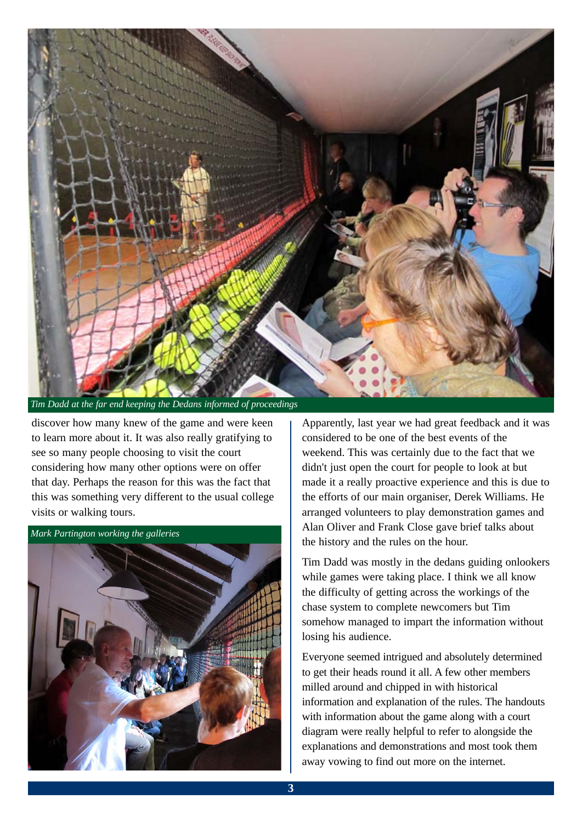

*Tim Dadd at the far end keeping the Dedans informed of proceedings*

discover how many knew of the game and were keen to learn more about it. It was also really gratifying to see so many people choosing to visit the court considering how many other options were on offer that day. Perhaps the reason for this was the fact that this was something very different to the usual college visits or walking tours.



Apparently, last year we had great feedback and it was considered to be one of the best events of the weekend. This was certainly due to the fact that we didn't just open the court for people to look at but made it a really proactive experience and this is due to the efforts of our main organiser, Derek Williams. He arranged volunteers to play demonstration games and Alan Oliver and Frank Close gave brief talks about the history and the rules on the hour.

Tim Dadd was mostly in the dedans guiding onlookers while games were taking place. I think we all know the difficulty of getting across the workings of the chase system to complete newcomers but Tim somehow managed to impart the information without losing his audience.

Everyone seemed intrigued and absolutely determined to get their heads round it all. A few other members milled around and chipped in with historical information and explanation of the rules. The handouts with information about the game along with a court diagram were really helpful to refer to alongside the explanations and demonstrations and most took them away vowing to find out more on the internet.